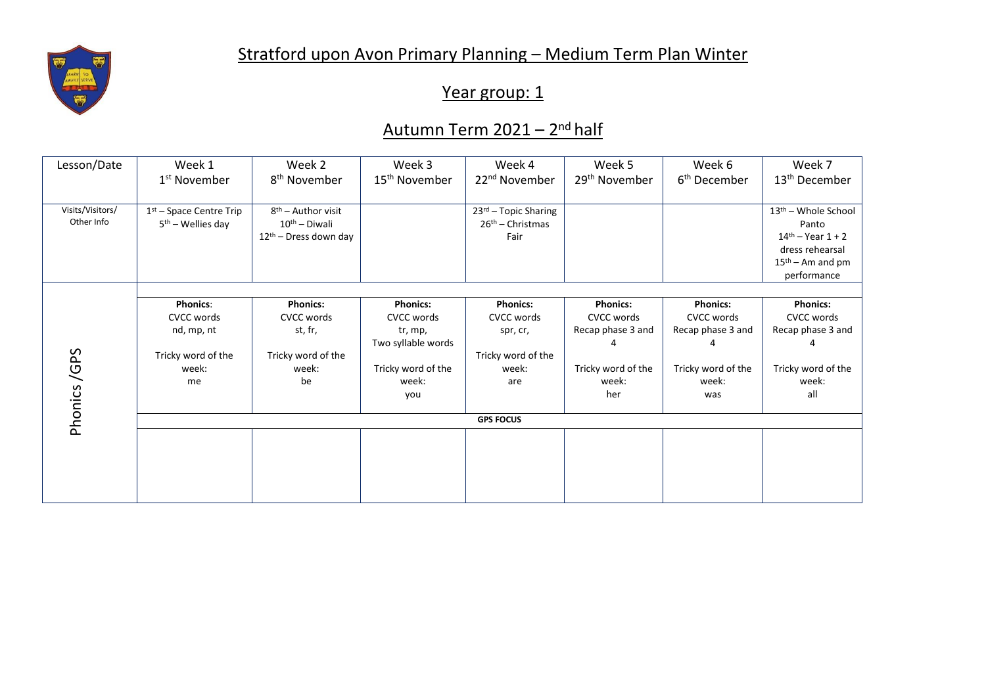

## Stratford upon Avon Primary Planning – Medium Term Plan Winter

## Year group: 1

## <u>Autumn Term 2021 – 2<sup>nd</sup> half</u>

| Lesson/Date      | Week 1                        | Week 2                            | Week 3                    | Week 4                    | Week 5                    | Week 6                   | Week 7                            |  |  |
|------------------|-------------------------------|-----------------------------------|---------------------------|---------------------------|---------------------------|--------------------------|-----------------------------------|--|--|
|                  | 1 <sup>st</sup> November      | 8 <sup>th</sup> November          | 15 <sup>th</sup> November | 22 <sup>nd</sup> November | 29 <sup>th</sup> November | 6 <sup>th</sup> December | 13 <sup>th</sup> December         |  |  |
|                  |                               |                                   |                           |                           |                           |                          |                                   |  |  |
| Visits/Visitors/ | $1st$ – Space Centre Trip     | $8th$ – Author visit              |                           | 23rd - Topic Sharing      |                           |                          | 13 <sup>th</sup> - Whole School   |  |  |
| Other Info       | 5 <sup>th</sup> – Wellies day | $10th$ - Diwali                   |                           | $26th$ – Christmas        |                           |                          | Panto                             |  |  |
|                  |                               | 12 <sup>th</sup> - Dress down day |                           | Fair                      |                           |                          | $14$ <sup>th</sup> – Year $1 + 2$ |  |  |
|                  |                               |                                   |                           |                           |                           |                          | dress rehearsal                   |  |  |
|                  |                               |                                   |                           |                           |                           |                          | $15th$ – Am and pm                |  |  |
|                  |                               |                                   |                           |                           |                           |                          | performance                       |  |  |
|                  |                               |                                   |                           |                           |                           |                          |                                   |  |  |
|                  | <b>Phonics:</b>               | <b>Phonics:</b>                   | <b>Phonics:</b>           | <b>Phonics:</b>           | <b>Phonics:</b>           | <b>Phonics:</b>          | <b>Phonics:</b>                   |  |  |
| Phonics/GPS      | <b>CVCC words</b>             | CVCC words                        | <b>CVCC words</b>         | <b>CVCC words</b>         | CVCC words                | <b>CVCC words</b>        | <b>CVCC words</b>                 |  |  |
|                  | nd, mp, nt                    | st, fr,                           | tr, mp,                   | spr, cr,                  | Recap phase 3 and         | Recap phase 3 and        | Recap phase 3 and                 |  |  |
|                  |                               |                                   | Two syllable words        |                           |                           |                          |                                   |  |  |
|                  | Tricky word of the            | Tricky word of the                |                           | Tricky word of the        |                           |                          |                                   |  |  |
|                  | week:                         | week:                             | Tricky word of the        | week:                     | Tricky word of the        | Tricky word of the       | Tricky word of the                |  |  |
|                  | me                            | be                                | week:                     | are                       | week:                     | week:                    | week:                             |  |  |
|                  |                               |                                   | you                       |                           | her                       | was                      | all                               |  |  |
|                  | <b>GPS FOCUS</b>              |                                   |                           |                           |                           |                          |                                   |  |  |
|                  |                               |                                   |                           |                           |                           |                          |                                   |  |  |
|                  |                               |                                   |                           |                           |                           |                          |                                   |  |  |
|                  |                               |                                   |                           |                           |                           |                          |                                   |  |  |
|                  |                               |                                   |                           |                           |                           |                          |                                   |  |  |
|                  |                               |                                   |                           |                           |                           |                          |                                   |  |  |
|                  |                               |                                   |                           |                           |                           |                          |                                   |  |  |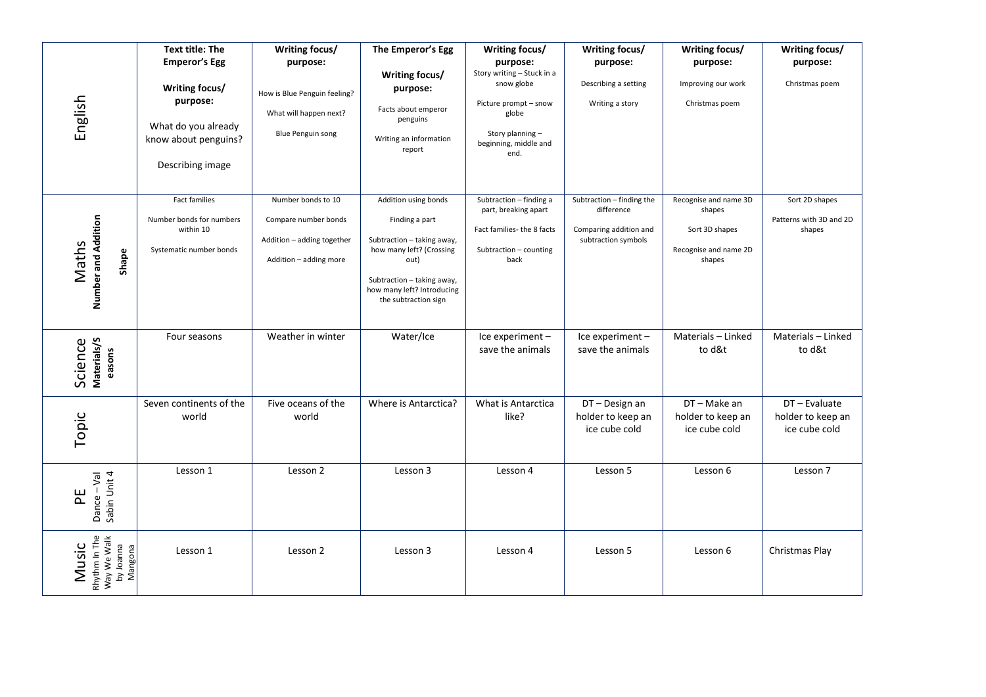|                                                               | <b>Text title: The</b>                                                                   | Writing focus/                                                                                     | The Emperor's Egg                                                                                                                                                                            | Writing focus/                                                                                                  | Writing focus/                                                                           | Writing focus/                                                                       | Writing focus/                                      |
|---------------------------------------------------------------|------------------------------------------------------------------------------------------|----------------------------------------------------------------------------------------------------|----------------------------------------------------------------------------------------------------------------------------------------------------------------------------------------------|-----------------------------------------------------------------------------------------------------------------|------------------------------------------------------------------------------------------|--------------------------------------------------------------------------------------|-----------------------------------------------------|
| English                                                       | <b>Emperor's Egg</b>                                                                     | purpose:                                                                                           |                                                                                                                                                                                              | purpose:<br>Story writing - Stuck in a                                                                          | purpose:                                                                                 | purpose:                                                                             | purpose:                                            |
|                                                               | Writing focus/<br>purpose:                                                               | How is Blue Penguin feeling?<br>What will happen next?                                             | Writing focus/<br>purpose:<br>Facts about emperor<br>penguins                                                                                                                                | snow globe<br>Picture prompt - snow<br>globe                                                                    | Describing a setting<br>Writing a story                                                  | Improving our work<br>Christmas poem                                                 | Christmas poem                                      |
|                                                               | What do you already<br>know about penguins?<br>Describing image                          | <b>Blue Penguin song</b>                                                                           | Writing an information<br>report                                                                                                                                                             | Story planning -<br>beginning, middle and<br>end.                                                               |                                                                                          |                                                                                      |                                                     |
| Number and Addition<br>Maths<br>Shape                         | <b>Fact families</b><br>Number bonds for numbers<br>within 10<br>Systematic number bonds | Number bonds to 10<br>Compare number bonds<br>Addition - adding together<br>Addition - adding more | Addition using bonds<br>Finding a part<br>Subtraction - taking away,<br>how many left? (Crossing<br>out)<br>Subtraction - taking away,<br>how many left? Introducing<br>the subtraction sign | Subtraction - finding a<br>part, breaking apart<br>Fact families- the 8 facts<br>Subtraction - counting<br>back | Subtraction - finding the<br>difference<br>Comparing addition and<br>subtraction symbols | Recognise and name 3D<br>shapes<br>Sort 3D shapes<br>Recognise and name 2D<br>shapes | Sort 2D shapes<br>Patterns with 3D and 2D<br>shapes |
| Science<br>Materials/S<br>easons                              | Four seasons                                                                             | Weather in winter                                                                                  | Water/Ice                                                                                                                                                                                    | Ice experiment -<br>save the animals                                                                            | Ice experiment-<br>save the animals                                                      | Materials - Linked<br>to d&t                                                         | Materials - Linked<br>to d&t                        |
| Topic                                                         | Seven continents of the<br>world                                                         | Five oceans of the<br>world                                                                        | Where is Antarctica?                                                                                                                                                                         | What is Antarctica<br>like?                                                                                     | DT - Design an<br>holder to keep an<br>ice cube cold                                     | DT-Make an<br>holder to keep an<br>ice cube cold                                     | DT-Evaluate<br>holder to keep an<br>ice cube cold   |
| Dance – Val<br>Sabin Unit 4<br>뇐                              | Lesson 1                                                                                 | Lesson 2                                                                                           | Lesson 3                                                                                                                                                                                     | Lesson 4                                                                                                        | Lesson 5                                                                                 | Lesson 6                                                                             | Lesson 7                                            |
| Rhythm In The<br>Way We Walk<br>by Joanna<br>Music<br>Mangona | Lesson 1                                                                                 | Lesson 2                                                                                           | Lesson 3                                                                                                                                                                                     | Lesson 4                                                                                                        | Lesson 5                                                                                 | Lesson 6                                                                             | Christmas Play                                      |